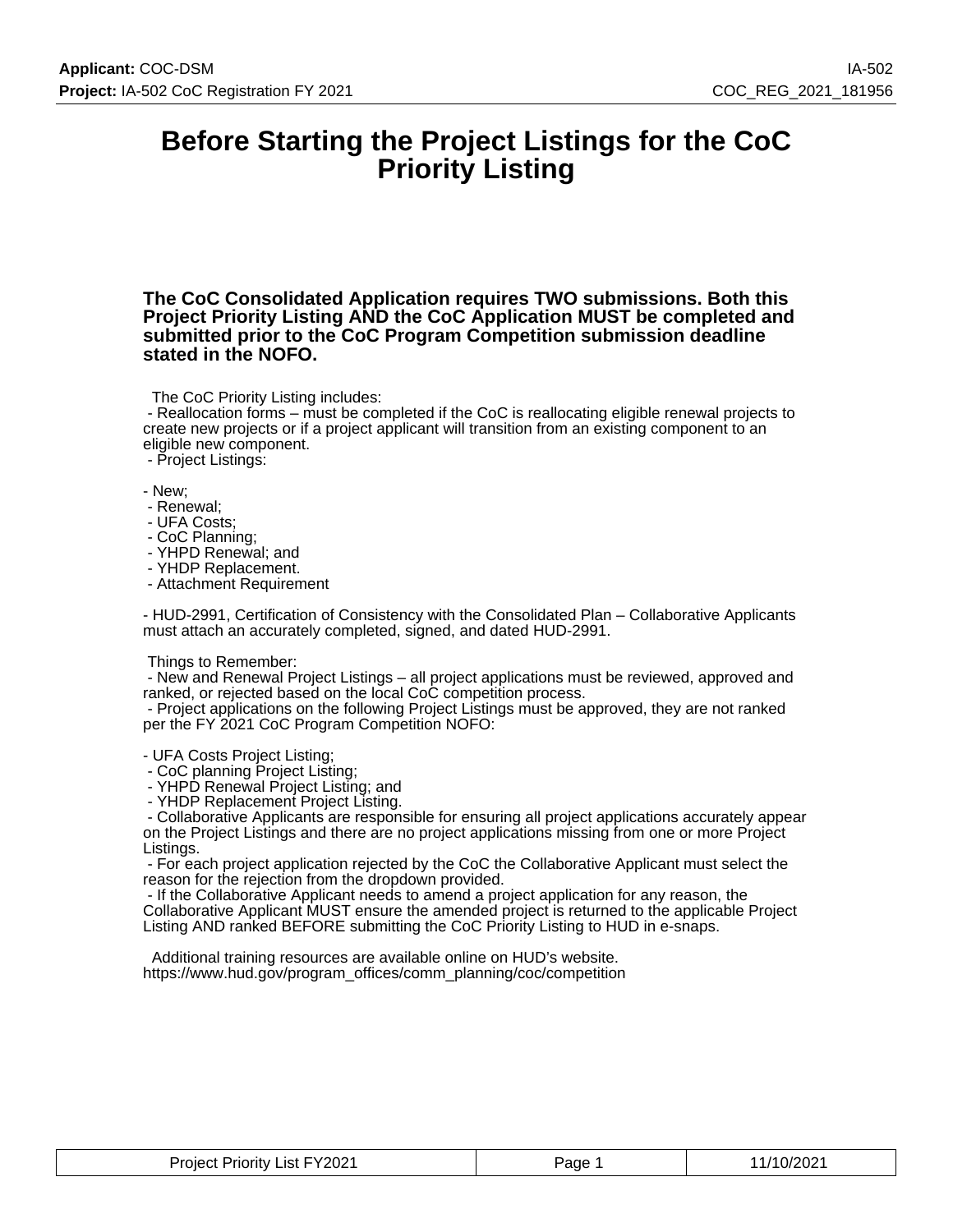### **Before Starting the Project Listings for the CoC Priority Listing**

**The CoC Consolidated Application requires TWO submissions. Both this Project Priority Listing AND the CoC Application MUST be completed and submitted prior to the CoC Program Competition submission deadline stated in the NOFO.**

The CoC Priority Listing includes:

 - Reallocation forms – must be completed if the CoC is reallocating eligible renewal projects to create new projects or if a project applicant will transition from an existing component to an eligible new component.

- Project Listings:

- New;

- Renewal;
- UFA Costs;
- CoC Planning;
- YHPD Renewal; and
- YHDP Replacement.
- Attachment Requirement

- HUD-2991, Certification of Consistency with the Consolidated Plan – Collaborative Applicants must attach an accurately completed, signed, and dated HUD-2991.

#### Things to Remember:

 - New and Renewal Project Listings – all project applications must be reviewed, approved and ranked, or rejected based on the local CoC competition process.

 - Project applications on the following Project Listings must be approved, they are not ranked per the FY 2021 CoC Program Competition NOFO:

- UFA Costs Project Listing;

- CoC planning Project Listing;

- YHPD Renewal Project Listing; and

- YHDP Replacement Project Listing.

 - Collaborative Applicants are responsible for ensuring all project applications accurately appear on the Project Listings and there are no project applications missing from one or more Project Listings.

 - For each project application rejected by the CoC the Collaborative Applicant must select the reason for the rejection from the dropdown provided.

 - If the Collaborative Applicant needs to amend a project application for any reason, the Collaborative Applicant MUST ensure the amended project is returned to the applicable Project Listing AND ranked BEFORE submitting the CoC Priority Listing to HUD in e-snaps.

 Additional training resources are available online on HUD's website. https://www.hud.gov/program\_offices/comm\_planning/coc/competition

| List FY2021<br>Priority<br>Proiect<br>________ | Page | /10/2021 |
|------------------------------------------------|------|----------|
|------------------------------------------------|------|----------|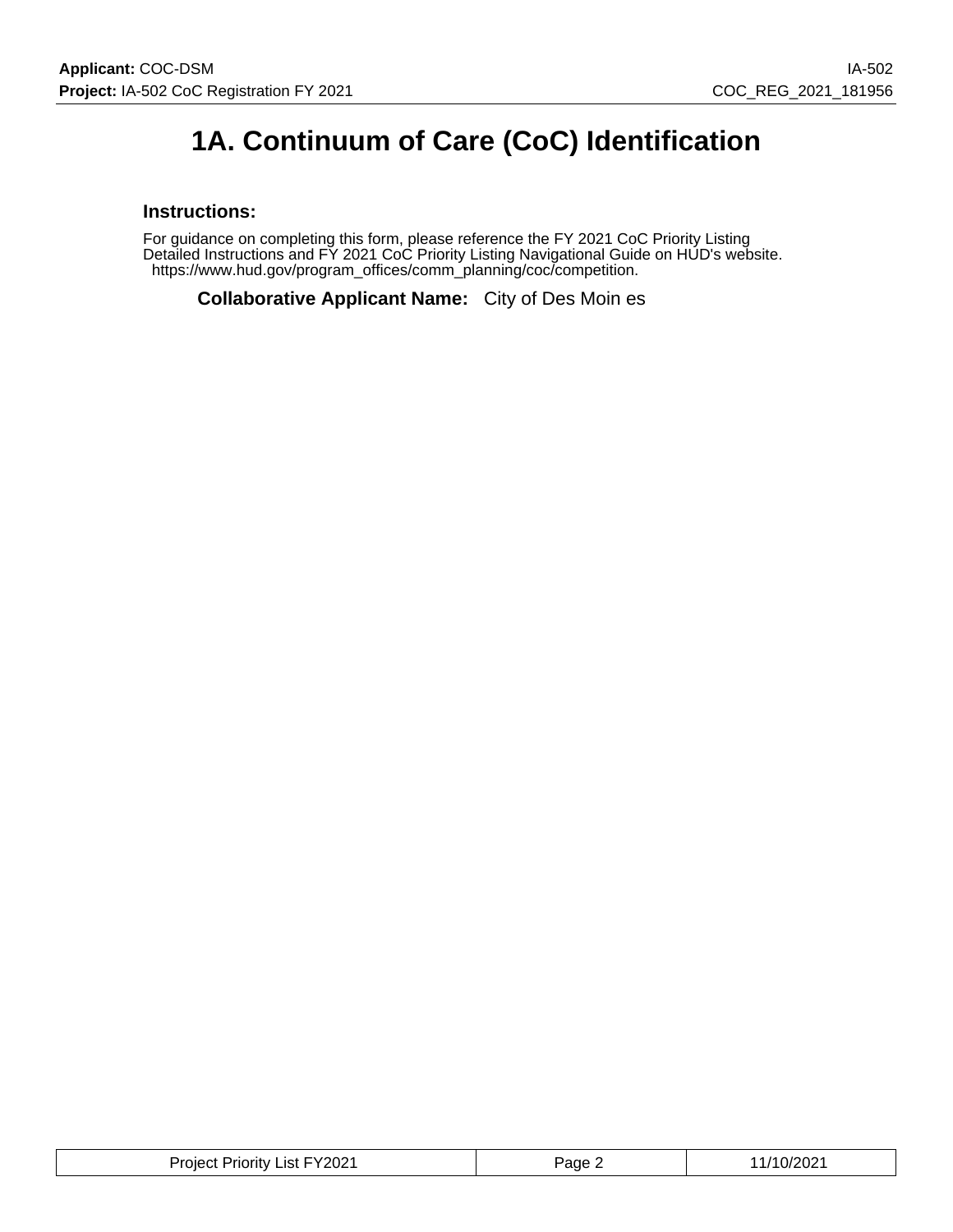# **1A. Continuum of Care (CoC) Identification**

#### **Instructions:**

For guidance on completing this form, please reference the FY 2021 CoC Priority Listing Detailed Instructions and FY 2021 CoC Priority Listing Navigational Guide on HUD's website. https://www.hud.gov/program\_offices/comm\_planning/coc/competition.

**Collaborative Applicant Name:** City of Des Moin es

| <b>Project Priority List FY2021</b> | Page 2 | 11/10/2021 |
|-------------------------------------|--------|------------|
|-------------------------------------|--------|------------|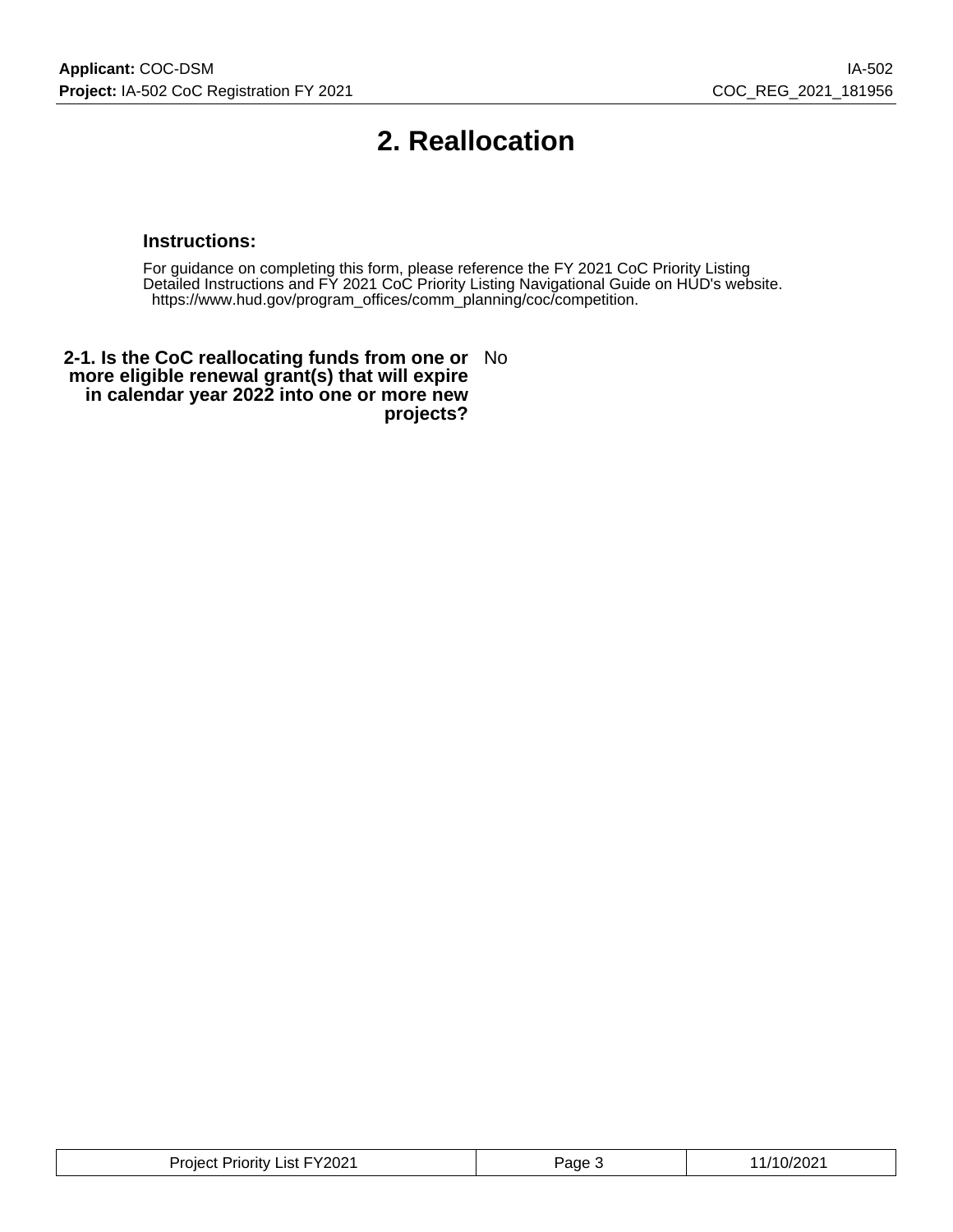# **2. Reallocation**

#### **Instructions:**

For guidance on completing this form, please reference the FY 2021 CoC Priority Listing Detailed Instructions and FY 2021 CoC Priority Listing Navigational Guide on HUD's website. https://www.hud.gov/program\_offices/comm\_planning/coc/competition.

**2-1. Is the CoC reallocating funds from one or** No **more eligible renewal grant(s) that will expire in calendar year 2022 into one or more new projects?**

| – ∨ΩOQ4 –<br>.<br>.ıst.<br>'ane<br>.oler<br><b>HOLID</b><br>∠∪∠<br><b>U</b><br>.UZ<br>. |
|-----------------------------------------------------------------------------------------|
|-----------------------------------------------------------------------------------------|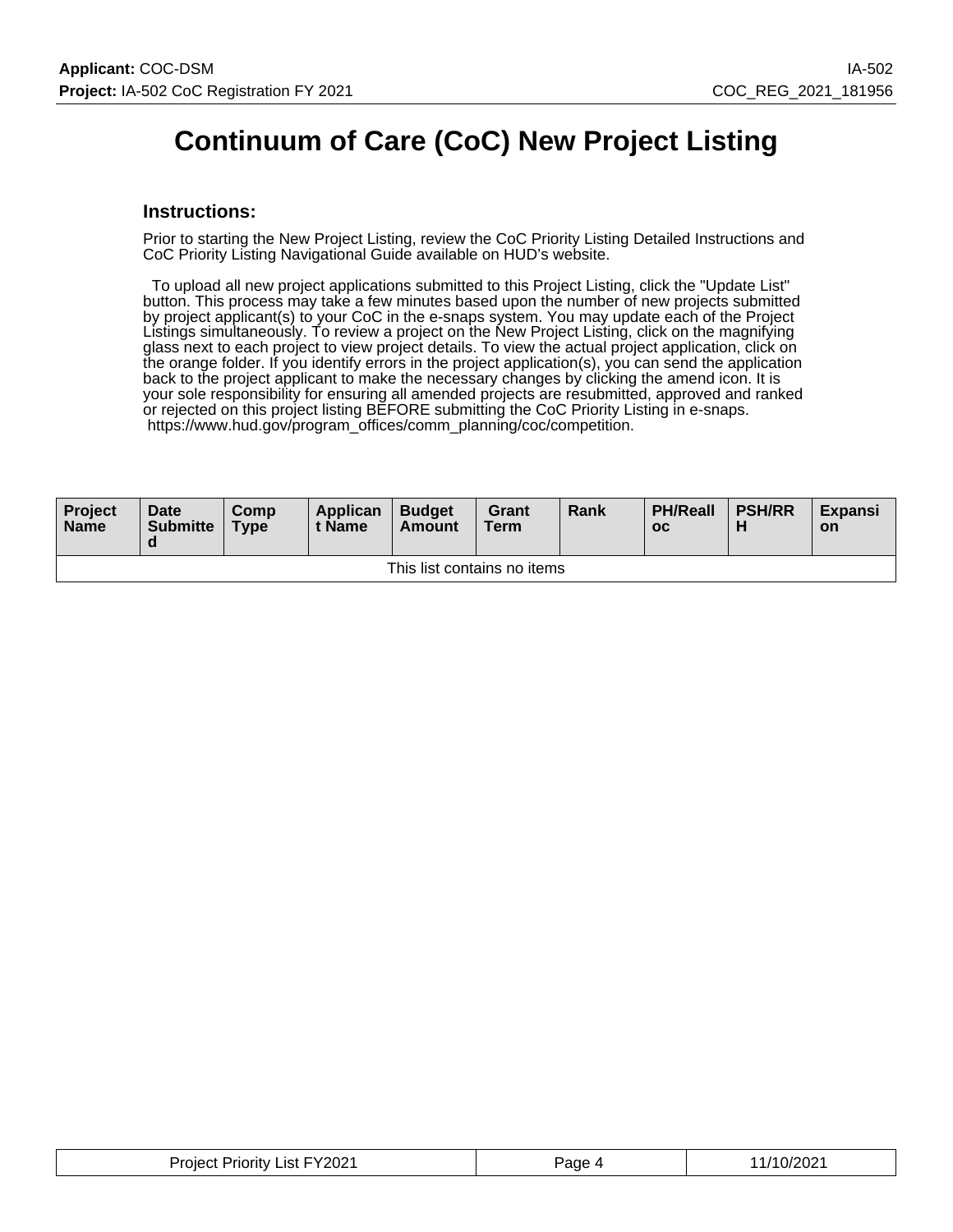# **Continuum of Care (CoC) New Project Listing**

#### **Instructions:**

Prior to starting the New Project Listing, review the CoC Priority Listing Detailed Instructions and CoC Priority Listing Navigational Guide available on HUD's website.

 To upload all new project applications submitted to this Project Listing, click the "Update List" button. This process may take a few minutes based upon the number of new projects submitted by project applicant(s) to your CoC in the e-snaps system. You may update each of the Project Listings simultaneously. To review a project on the New Project Listing, click on the magnifying glass next to each project to view project details. To view the actual project application, click on the orange folder. If you identify errors in the project application(s), you can send the application back to the project applicant to make the necessary changes by clicking the amend icon. It is your sole responsibility for ensuring all amended projects are resubmitted, approved and ranked or rejected on this project listing BEFORE submitting the CoC Priority Listing in e-snaps. https://www.hud.gov/program\_offices/comm\_planning/coc/competition.

| Project<br><b>Name</b>      | <b>Date</b><br><b>Submitte</b><br>a | Comp<br><b>Type</b> | Applican<br>t Name | <b>Budget</b><br>Amount | Grant<br><b>Term</b> | Rank | <b>PH/Reall</b><br>$_{\rm oc}$ | <b>PSH/RR</b> | <b>Expansi</b><br><b>on</b> |
|-----------------------------|-------------------------------------|---------------------|--------------------|-------------------------|----------------------|------|--------------------------------|---------------|-----------------------------|
| This list contains no items |                                     |                     |                    |                         |                      |      |                                |               |                             |

| <b>Project Priority List FY2021</b> | aqe- | ∍ור∩רי<br>1 U/ZU∠ .<br>______ |
|-------------------------------------|------|-------------------------------|
|-------------------------------------|------|-------------------------------|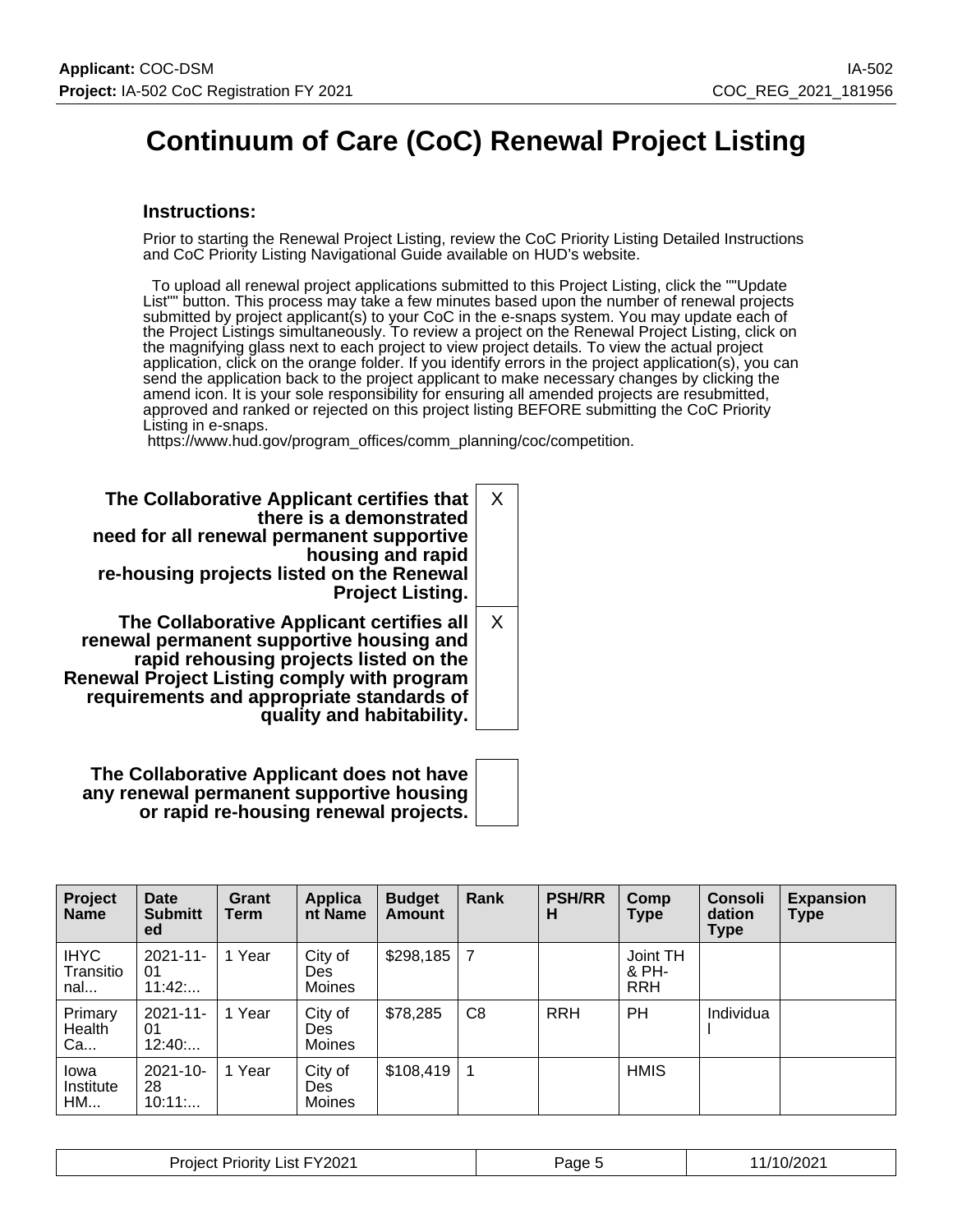# **Continuum of Care (CoC) Renewal Project Listing**

#### **Instructions:**

Prior to starting the Renewal Project Listing, review the CoC Priority Listing Detailed Instructions and CoC Priority Listing Navigational Guide available on HUD's website.

 To upload all renewal project applications submitted to this Project Listing, click the ""Update List"" button. This process may take a few minutes based upon the number of renewal projects submitted by project applicant(s) to your CoC in the e-snaps system. You may update each of the Project Listings simultaneously. To review a project on the Renewal Project Listing, click on the magnifying glass next to each project to view project details. To view the actual project application, click on the orange folder. If you identify errors in the project application(s), you can send the application back to the project applicant to make necessary changes by clicking the amend icon. It is your sole responsibility for ensuring all amended projects are resubmitted, approved and ranked or rejected on this project listing BEFORE submitting the CoC Priority Listing in e-snaps.

https://www.hud.gov/program\_offices/comm\_planning/coc/competition.

| The Collaborative Applicant certifies that<br>there is a demonstrated<br>need for all renewal permanent supportive<br>housing and rapid<br>re-housing projects listed on the Renewal<br><b>Project Listing.</b>                                                 | X        |
|-----------------------------------------------------------------------------------------------------------------------------------------------------------------------------------------------------------------------------------------------------------------|----------|
| The Collaborative Applicant certifies all<br>renewal permanent supportive housing and<br>rapid rehousing projects listed on the<br><b>Renewal Project Listing comply with program</b><br>requirements and appropriate standards of<br>quality and habitability. | $\times$ |

**The Collaborative Applicant does not have any renewal permanent supportive housing or rapid re-housing renewal projects.**

| Project<br><b>Name</b>          | Date<br><b>Submitt</b><br>ed  | Grant<br>Term | <b>Applica</b><br>nt Name | <b>Budget</b><br><b>Amount</b> | Rank           | <b>PSH/RR</b><br>н | Comp<br><b>Type</b>             | <b>Consoli</b><br>dation<br>Type | <b>Expansion</b><br><b>Type</b> |
|---------------------------------|-------------------------------|---------------|---------------------------|--------------------------------|----------------|--------------------|---------------------------------|----------------------------------|---------------------------------|
| <b>IHYC</b><br>Transitio<br>nal | $2021 - 11$<br>01<br>11:42    | 1 Year        | City of<br>Des.<br>Moines | \$298,185                      | 7              |                    | Joint TH<br>& PH-<br><b>RRH</b> |                                  |                                 |
| Primary<br>Health<br>Ca         | $2021 - 11 -$<br>01<br>12:40: | 1 Year        | City of<br>Des.<br>Moines | \$78,285                       | C <sub>8</sub> | <b>RRH</b>         | PH                              | Individua                        |                                 |
| lowa<br>Institute<br><b>HM</b>  | $2021 - 10 -$<br>28<br>10:11  | 1 Year        | City of<br>Des<br>Moines  | \$108,419                      |                |                    | <b>HMIS</b>                     |                                  |                                 |

| <b>Project Priority List FY2021</b> | Page | 1/10/2021 |
|-------------------------------------|------|-----------|
|-------------------------------------|------|-----------|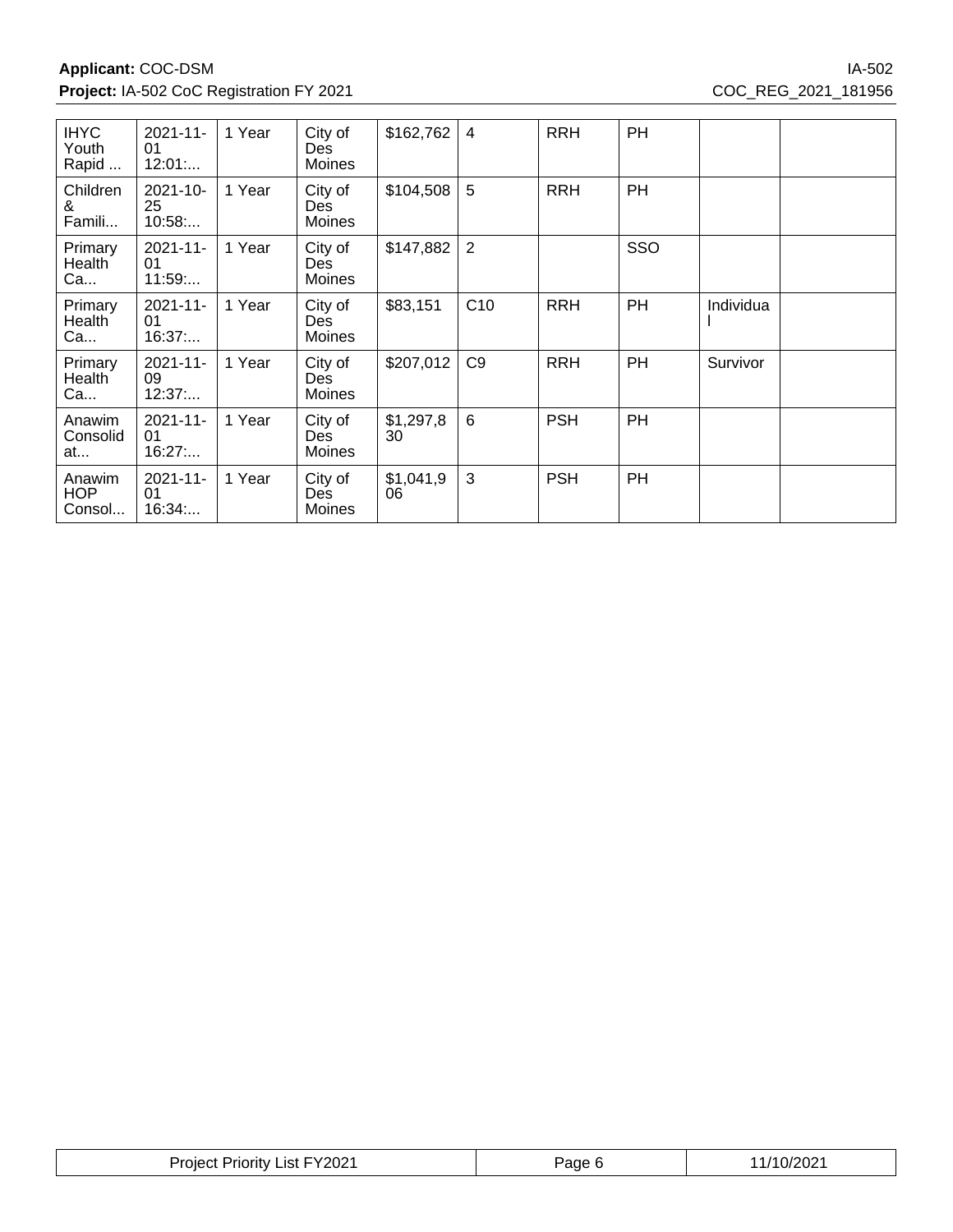**Applicant:** COC-DSM IA-502 **Project:** IA-502 CoC Registration FY 2021 COC\_REG\_2021\_181956

| <b>IHYC</b><br>Youth<br>Rapid        | $2021 - 11 -$<br>01<br>12:01 | 1 Year | City of<br>Des<br>Moines               | \$162,762       | 4              | <b>RRH</b> | PH        |           |  |
|--------------------------------------|------------------------------|--------|----------------------------------------|-----------------|----------------|------------|-----------|-----------|--|
| Children<br>&<br>Famili              | $2021 - 10 -$<br>25<br>10:58 | 1 Year | City of<br>Des<br><b>Moines</b>        | \$104,508       | 5              | <b>RRH</b> | <b>PH</b> |           |  |
| Primary<br>Health <sup>®</sup><br>Ca | $2021 - 11 -$<br>01<br>11:59 | 1 Year | City of<br>Des.<br>Moines              | \$147,882       | $\overline{2}$ |            | SSO       |           |  |
| Primary<br>Health<br>Ca              | $2021 - 11 -$<br>01<br>16:37 | 1 Year | City of<br>Des<br>Moines               | \$83,151        | C10            | <b>RRH</b> | <b>PH</b> | Individua |  |
| Primary<br>Health<br>Ca              | $2021 - 11 -$<br>09<br>12:37 | 1 Year | City of<br><b>Des</b><br>Moines        | \$207,012       | C <sub>9</sub> | <b>RRH</b> | PH        | Survivor  |  |
| Anawim<br>Consolid<br>at             | $2021 - 11 -$<br>01<br>16:27 | 1 Year | City of<br><b>Des</b><br>Moines        | \$1,297,8<br>30 | 6              | <b>PSH</b> | PH        |           |  |
| Anawim<br><b>HOP</b><br>Consol       | $2021 - 11 -$<br>01<br>16:34 | 1 Year | City of<br><b>Des</b><br><b>Moines</b> | \$1,041,9<br>06 | 3              | <b>PSH</b> | PH        |           |  |

| <b>Project Priority List FY2021</b> | ∍aαe | /10/2021 |
|-------------------------------------|------|----------|
|-------------------------------------|------|----------|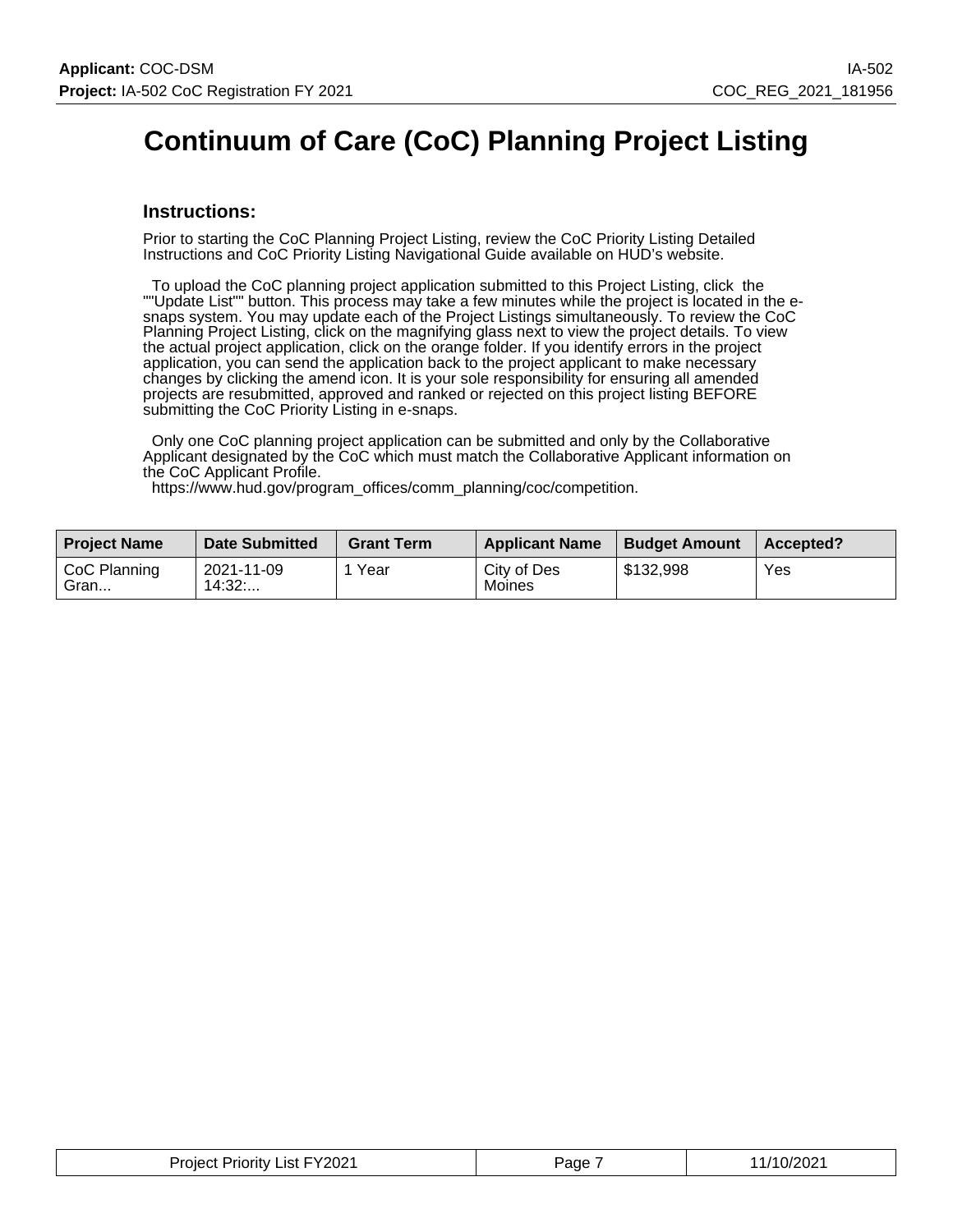# **Continuum of Care (CoC) Planning Project Listing**

#### **Instructions:**

Prior to starting the CoC Planning Project Listing, review the CoC Priority Listing Detailed Instructions and CoC Priority Listing Navigational Guide available on HUD's website.

 To upload the CoC planning project application submitted to this Project Listing, click the ""Update List"" button. This process may take a few minutes while the project is located in the esnaps system. You may update each of the Project Listings simultaneously. To review the CoC Planning Project Listing, click on the magnifying glass next to view the project details. To view the actual project application, click on the orange folder. If you identify errors in the project application, you can send the application back to the project applicant to make necessary changes by clicking the amend icon. It is your sole responsibility for ensuring all amended projects are resubmitted, approved and ranked or rejected on this project listing BEFORE submitting the CoC Priority Listing in e-snaps.

 Only one CoC planning project application can be submitted and only by the Collaborative Applicant designated by the CoC which must match the Collaborative Applicant information on the CoC Applicant Profile.

https://www.hud.gov/program\_offices/comm\_planning/coc/competition.

| <b>Project Name</b>  | <b>Date Submitted</b> | <b>Grant Term</b> | <b>Applicant Name</b> | <b>Budget Amount</b> | Accepted? |
|----------------------|-----------------------|-------------------|-----------------------|----------------------|-----------|
| CoC Planning<br>Gran | 2021-11-09<br>14:32:  | Year              | City of Des<br>Moines | \$132.998            | Yes       |

| <b>Project Priority List FY2021</b> | Page | 1/10/2021 |
|-------------------------------------|------|-----------|
|-------------------------------------|------|-----------|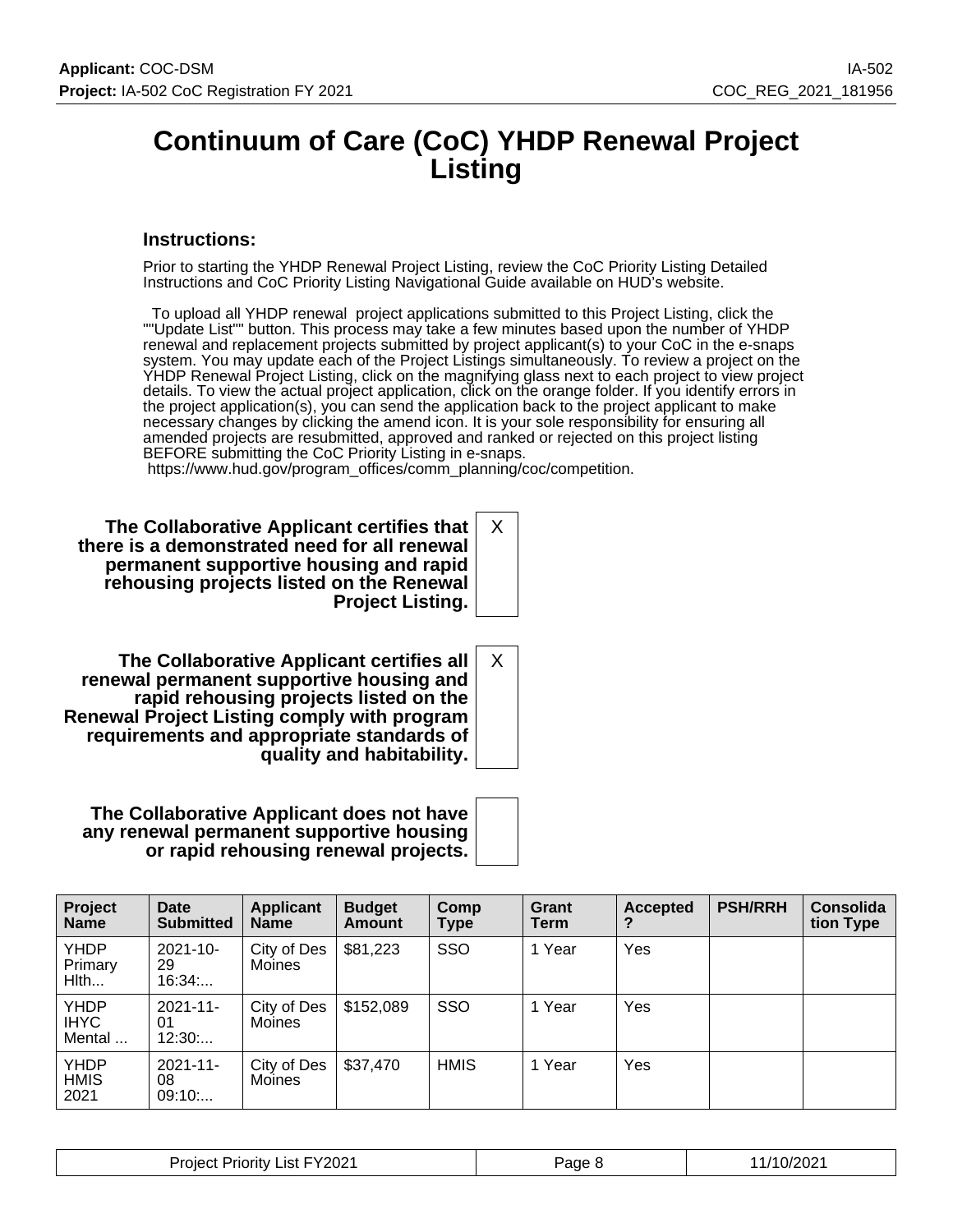### **Continuum of Care (CoC) YHDP Renewal Project Listing**

#### **Instructions:**

Prior to starting the YHDP Renewal Project Listing, review the CoC Priority Listing Detailed Instructions and CoC Priority Listing Navigational Guide available on HUD's website.

 To upload all YHDP renewal project applications submitted to this Project Listing, click the ""Update List"" button. This process may take a few minutes based upon the number of YHDP renewal and replacement projects submitted by project applicant(s) to your CoC in the e-snaps system. You may update each of the Project Listings simultaneously. To review a project on the YHDP Renewal Project Listing, click on the magnifying glass next to each project to view project details. To view the actual project application, click on the orange folder. If you identify errors in the project application(s), you can send the application back to the project applicant to make necessary changes by clicking the amend icon. It is your sole responsibility for ensuring all amended projects are resubmitted, approved and ranked or rejected on this project listing BEFORE submitting the CoC Priority Listing in e-snaps.

X

X

https://www.hud.gov/program\_offices/comm\_planning/coc/competition.

**The Collaborative Applicant certifies that there is a demonstrated need for all renewal permanent supportive housing and rapid rehousing projects listed on the Renewal Project Listing.**

**The Collaborative Applicant certifies all renewal permanent supportive housing and rapid rehousing projects listed on the Renewal Project Listing comply with program requirements and appropriate standards of quality and habitability.**

**The Collaborative Applicant does not have any renewal permanent supportive housing or rapid rehousing renewal projects.**

| Project<br><b>Name</b>               | Date<br><b>Submitted</b>     | <b>Applicant</b><br><b>Name</b> | <b>Budget</b><br><b>Amount</b> | Comp<br>Type | Grant<br>Term | <b>Accepted</b> | <b>PSH/RRH</b> | <b>Consolida</b><br>tion Type |
|--------------------------------------|------------------------------|---------------------------------|--------------------------------|--------------|---------------|-----------------|----------------|-------------------------------|
| <b>YHDP</b><br>Primary<br>Hlth       | $2021 - 10 -$<br>29<br>16:34 | City of Des<br>Moines           | \$81,223                       | SSO          | 1 Year        | Yes             |                |                               |
| <b>YHDP</b><br><b>IHYC</b><br>Mental | $2021 - 11$<br>01<br>12:30   | City of Des<br><b>Moines</b>    | \$152,089                      | <b>SSO</b>   | 1 Year        | <b>Yes</b>      |                |                               |
| <b>YHDP</b><br><b>HMIS</b><br>2021   | $2021 - 11$<br>08<br>09:10   | City of Des<br>Moines           | \$37,470                       | <b>HMIS</b>  | 1 Year        | Yes             |                |                               |

| Y2021 <sup>.</sup><br>List<br>1.322<br>rıorıtv<br>ment | ≌age | 1/2021<br>. <i>. .</i><br>∵∪∠ |
|--------------------------------------------------------|------|-------------------------------|
|--------------------------------------------------------|------|-------------------------------|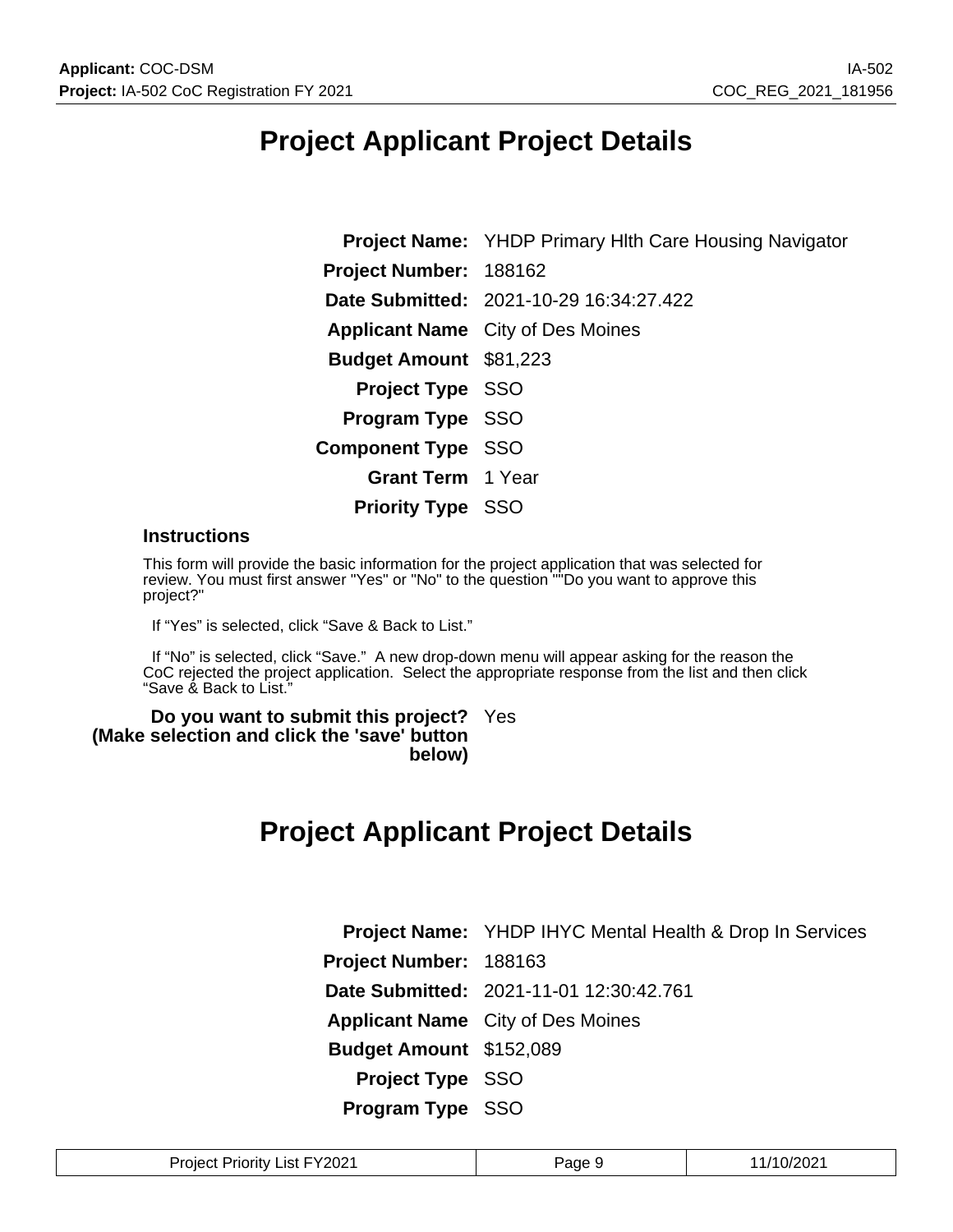## **Project Applicant Project Details**

**Project Name:** YHDP Primary Hlth Care Housing Navigator **Project Number:** 188162 **Date Submitted:** 2021-10-29 16:34:27.422 **Applicant Name** City of Des Moines **Budget Amount** \$81,223 **Project Type** SSO **Program Type** SSO **Component Type** SSO **Grant Term** 1 Year **Priority Type** SSO

#### **Instructions**

This form will provide the basic information for the project application that was selected for review. You must first answer "Yes" or "No" to the question "<sup>"</sup>Do you want to approve this project?"

If "Yes" is selected, click "Save & Back to List."

 If "No" is selected, click "Save." A new drop-down menu will appear asking for the reason the CoC rejected the project application. Select the appropriate response from the list and then click "Save & Back to List."

**Do you want to submit this project?** Yes **(Make selection and click the 'save' button below)**

## **Project Applicant Project Details**

|                         | <b>Project Name:</b> YHDP IHYC Mental Health & Drop In Services |
|-------------------------|-----------------------------------------------------------------|
| Project Number: 188163  |                                                                 |
|                         | Date Submitted: 2021-11-01 12:30:42.761                         |
|                         | <b>Applicant Name</b> City of Des Moines                        |
| Budget Amount \$152,089 |                                                                 |
| <b>Project Type SSO</b> |                                                                 |
| Program Type SSO        |                                                                 |

| FY2021<br><b>Project</b><br>∟ist∴<br><b>Priority</b> L | Page | /10/2021 |
|--------------------------------------------------------|------|----------|
|--------------------------------------------------------|------|----------|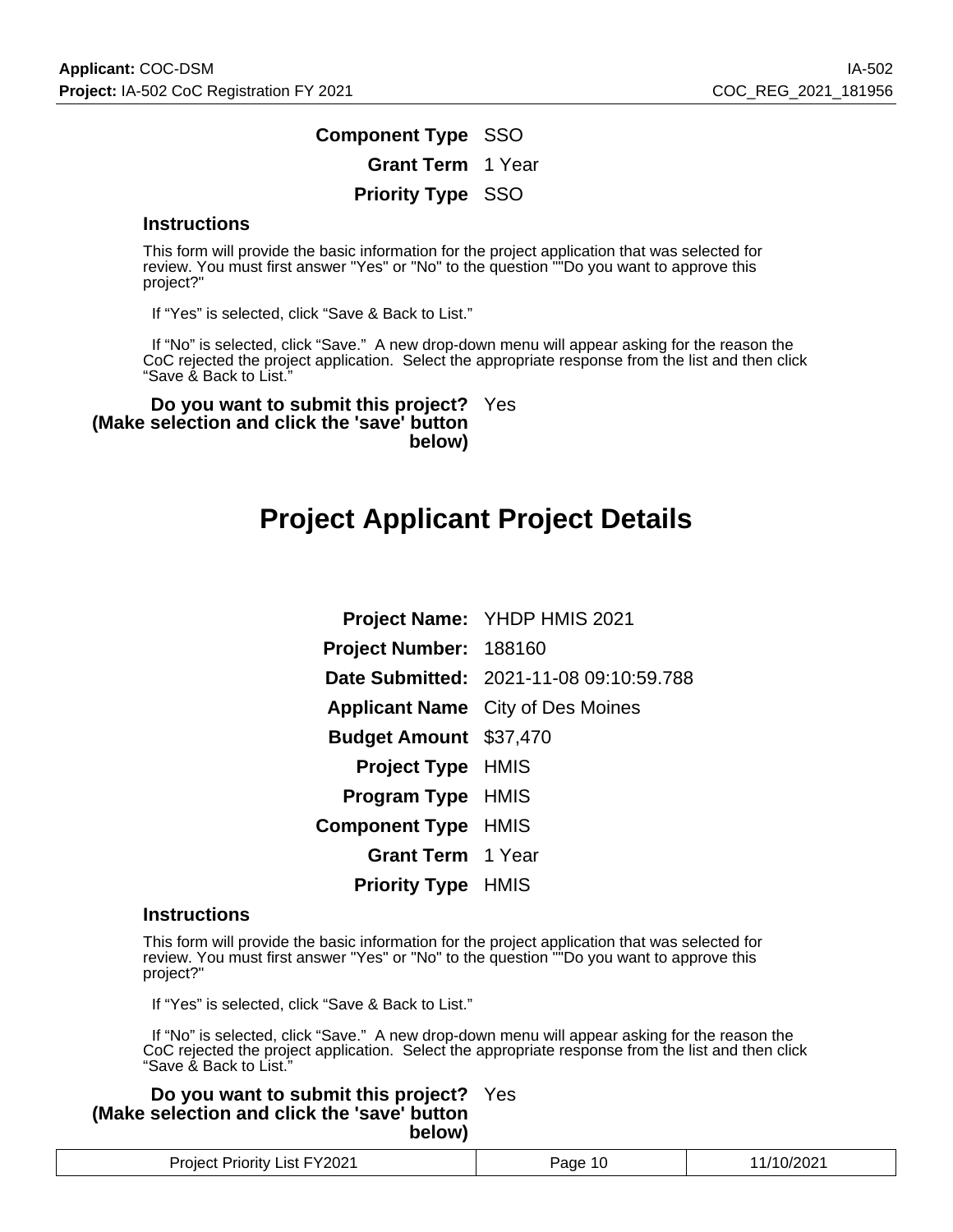### **Component Type** SSO **Grant Term** 1 Year **Priority Type** SSO

#### **Instructions**

This form will provide the basic information for the project application that was selected for review. You must first answer "Yes" or "No" to the question ""Do you want to approve this project?"

If "Yes" is selected, click "Save & Back to List."

 If "No" is selected, click "Save." A new drop-down menu will appear asking for the reason the CoC rejected the project application. Select the appropriate response from the list and then click "Save & Back to List."

**Do you want to submit this project?** Yes **(Make selection and click the 'save' button below)**

## **Project Applicant Project Details**

|                               | <b>Project Name: YHDP HMIS 2021</b>      |
|-------------------------------|------------------------------------------|
| Project Number: 188160        |                                          |
|                               | Date Submitted: 2021-11-08 09:10:59.788  |
|                               | <b>Applicant Name</b> City of Des Moines |
| <b>Budget Amount \$37,470</b> |                                          |
| <b>Project Type HMIS</b>      |                                          |
| <b>Program Type HMIS</b>      |                                          |
| <b>Component Type HMIS</b>    |                                          |
| <b>Grant Term</b> 1 Year      |                                          |
| <b>Priority Type HMIS</b>     |                                          |

#### **Instructions**

This form will provide the basic information for the project application that was selected for review. You must first answer "Yes" or "No" to the question "<sup>"</sup>Do you want to approve this project?"

If "Yes" is selected, click "Save & Back to List."

 If "No" is selected, click "Save." A new drop-down menu will appear asking for the reason the CoC rejected the project application. Select the appropriate response from the list and then click "Save & Back to List."

**Do you want to submit this project?** Yes **(Make selection and click the 'save' button below)**

| List FY2021<br>Proiect I<br><b>Priority</b> | aae | ירוכיו ו<br>'∪/∠∪∠ . |
|---------------------------------------------|-----|----------------------|
|---------------------------------------------|-----|----------------------|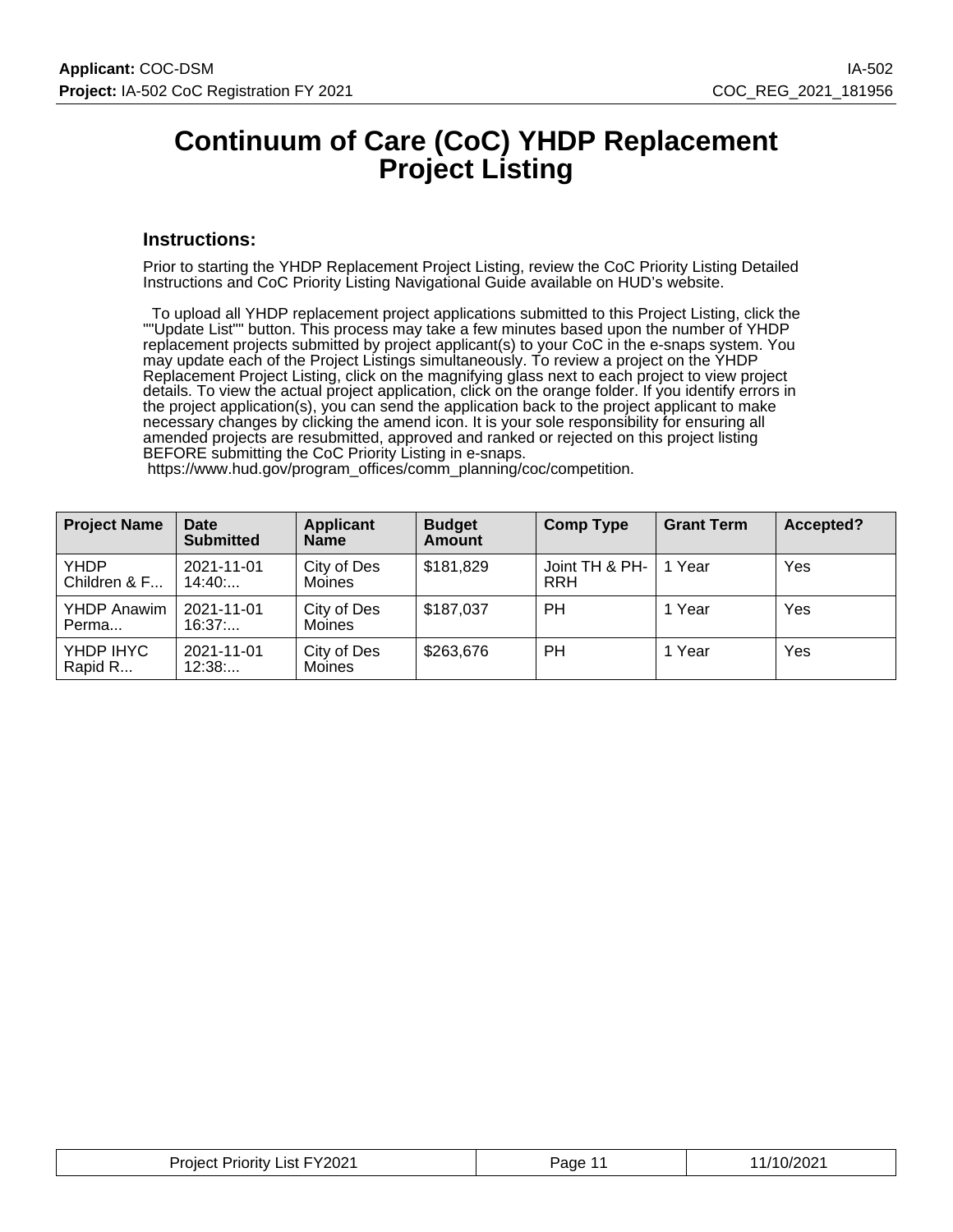### **Continuum of Care (CoC) YHDP Replacement Project Listing**

#### **Instructions:**

Prior to starting the YHDP Replacement Project Listing, review the CoC Priority Listing Detailed Instructions and CoC Priority Listing Navigational Guide available on HUD's website.

 To upload all YHDP replacement project applications submitted to this Project Listing, click the ""Update List"" button. This process may take a few minutes based upon the number of YHDP replacement projects submitted by project applicant(s) to your CoC in the e-snaps system. You may update each of the Project Listings simultaneously. To review a project on the YHDP Replacement Project Listing, click on the magnifying glass next to each project to view project details. To view the actual project application, click on the orange folder. If you identify errors in the project application(s), you can send the application back to the project applicant to make necessary changes by clicking the amend icon. It is your sole responsibility for ensuring all amended projects are resubmitted, approved and ranked or rejected on this project listing BEFORE submitting the CoC Priority Listing in e-snaps.

| <b>Project Name</b>         | <b>Date</b><br><b>Submitted</b> | <b>Applicant</b><br><b>Name</b> | <b>Budget</b><br><b>Amount</b> | <b>Comp Type</b>             | <b>Grant Term</b> | Accepted? |
|-----------------------------|---------------------------------|---------------------------------|--------------------------------|------------------------------|-------------------|-----------|
| <b>YHDP</b><br>Children & F | 2021-11-01<br>14:40             | City of Des<br>Moines           | \$181,829                      | Joint TH & PH-<br><b>RRH</b> | 1 Year            | Yes       |
| <b>YHDP Anawim</b><br>Perma | 2021-11-01<br>16:37             | City of Des<br>Moines           | \$187,037                      | <b>PH</b>                    | 1 Year            | Yes       |
| YHDP IHYC<br>Rapid R        | 2021-11-01<br>12:38             | City of Des<br><b>Moines</b>    | \$263,676                      | <b>PH</b>                    | 1 Year            | Yes       |

https://www.hud.gov/program\_offices/comm\_planning/coc/competition.

| Project Priority List FY2021 | Page<br>. . | 11/10/2021 |
|------------------------------|-------------|------------|
|------------------------------|-------------|------------|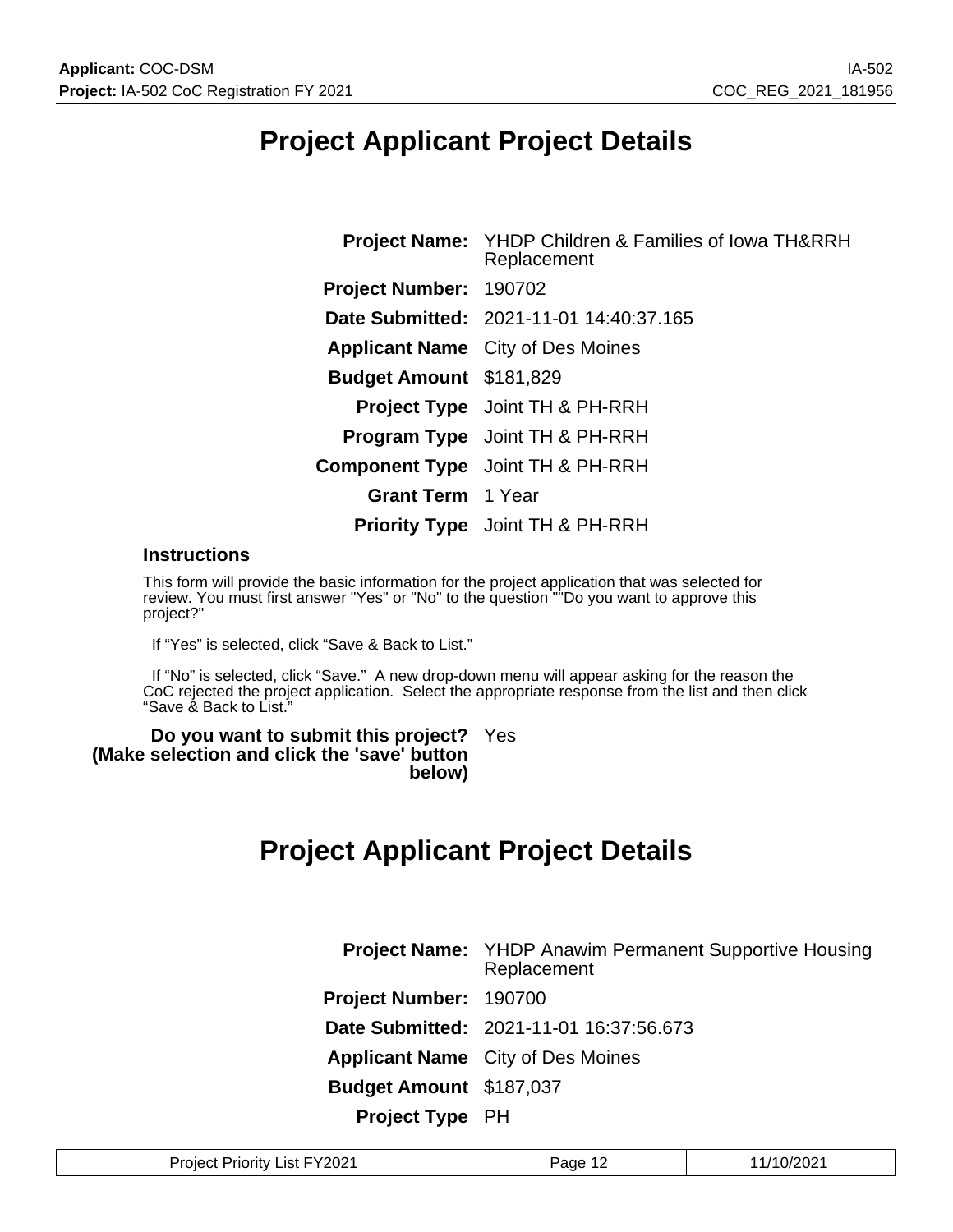# **Project Applicant Project Details**

| <b>Project Name:</b> YHDP Children & Families of Iowa TH&RRH<br>Replacement |
|-----------------------------------------------------------------------------|
| Project Number: 190702                                                      |
| Date Submitted: 2021-11-01 14:40:37.165                                     |
| <b>Applicant Name</b> City of Des Moines                                    |
| <b>Budget Amount \$181,829</b>                                              |
| <b>Project Type</b> Joint TH & PH-RRH                                       |
| <b>Program Type</b> Joint TH & PH-RRH                                       |
| <b>Component Type</b> Joint TH & PH-RRH                                     |
| <b>Grant Term</b> 1 Year                                                    |
| <b>Priority Type</b> Joint TH & PH-RRH                                      |
|                                                                             |

#### **Instructions**

This form will provide the basic information for the project application that was selected for review. You must first answer "Yes" or "No" to the question ""Do you want to approve this project?"

If "Yes" is selected, click "Save & Back to List."

 If "No" is selected, click "Save." A new drop-down menu will appear asking for the reason the CoC rejected the project application. Select the appropriate response from the list and then click "Save & Back to List."

**Do you want to submit this project?** Yes **(Make selection and click the 'save' button below)**

## **Project Applicant Project Details**

|                                | <b>Project Name:</b> YHDP Anawim Permanent Supportive Housing<br>Replacement |
|--------------------------------|------------------------------------------------------------------------------|
| Project Number: 190700         |                                                                              |
|                                | Date Submitted: 2021-11-01 16:37:56.673                                      |
|                                | <b>Applicant Name</b> City of Des Moines                                     |
| <b>Budget Amount \$187,037</b> |                                                                              |
| <b>Project Type PH</b>         |                                                                              |

| :Vono1<br>Projec<br>.<br>.ıst<br>нэ<br>$\cdots$<br>.UZ<br>____ | ane | ـ⊿∪ |
|----------------------------------------------------------------|-----|-----|
|----------------------------------------------------------------|-----|-----|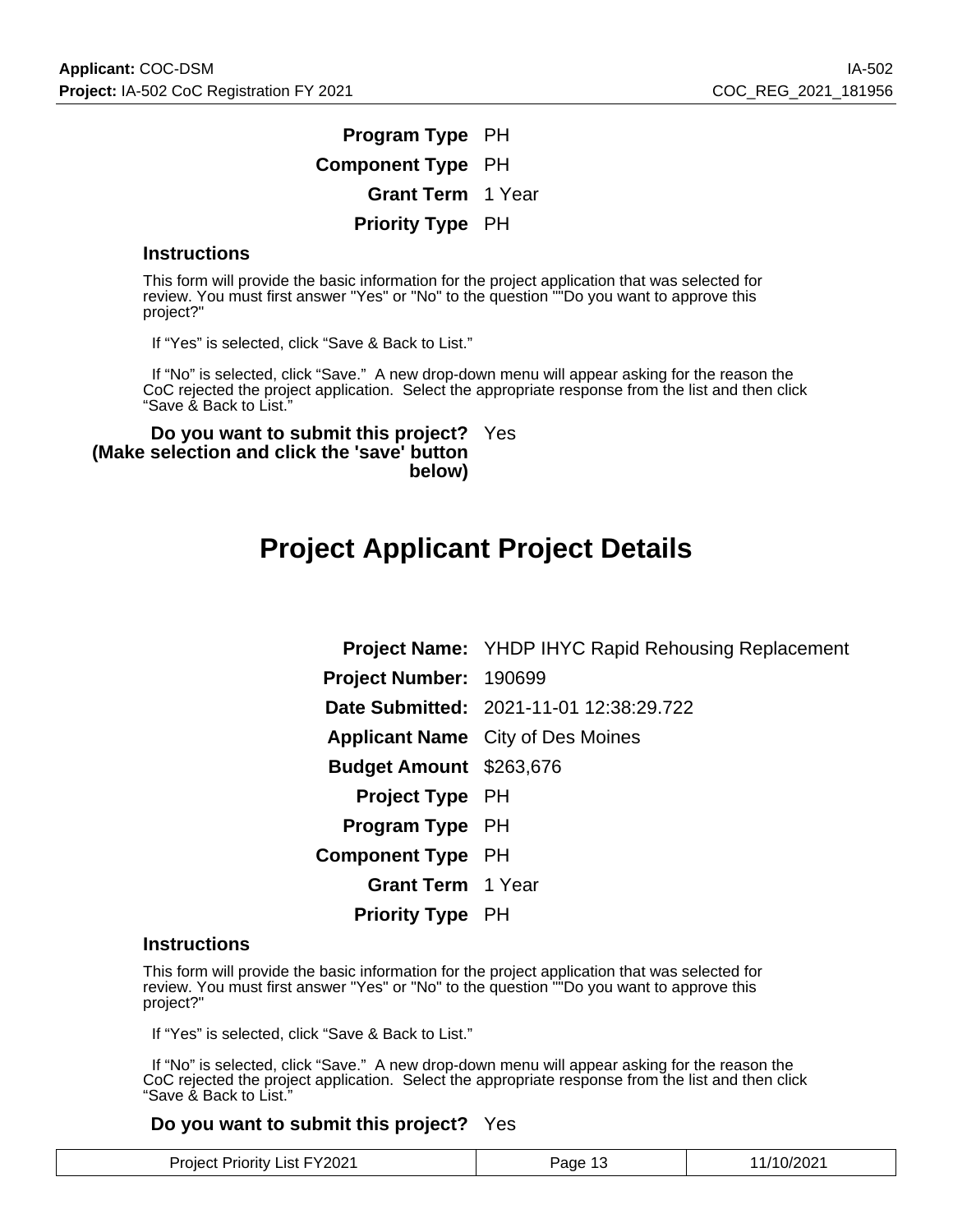### **Program Type** PH **Component Type** PH **Grant Term** 1 Year **Priority Type** PH

#### **Instructions**

This form will provide the basic information for the project application that was selected for review. You must first answer "Yes" or "No" to the question ""Do you want to approve this project?"

If "Yes" is selected, click "Save & Back to List."

 If "No" is selected, click "Save." A new drop-down menu will appear asking for the reason the CoC rejected the project application. Select the appropriate response from the list and then click "Save & Back to List."

**Do you want to submit this project?** Yes **(Make selection and click the 'save' button below)**

### **Project Applicant Project Details**

**Project Name:** YHDP IHYC Rapid Rehousing Replacement **Project Number:** 190699 **Date Submitted:** 2021-11-01 12:38:29.722 **Applicant Name** City of Des Moines **Budget Amount** \$263,676 **Project Type** PH **Program Type** PH **Component Type** PH **Grant Term** 1 Year **Priority Type** PH

#### **Instructions**

This form will provide the basic information for the project application that was selected for review. You must first answer "Yes" or "No" to the question ""Do you want to approve this project?"

If "Yes" is selected, click "Save & Back to List."

 If "No" is selected, click "Save." A new drop-down menu will appear asking for the reason the CoC rejected the project application. Select the appropriate response from the list and then click "Save & Back to List."

#### **Do you want to submit this project?** Yes

| <b>Project Priority List FY2021</b> | Page 13 | 11/10/2021 |
|-------------------------------------|---------|------------|
|-------------------------------------|---------|------------|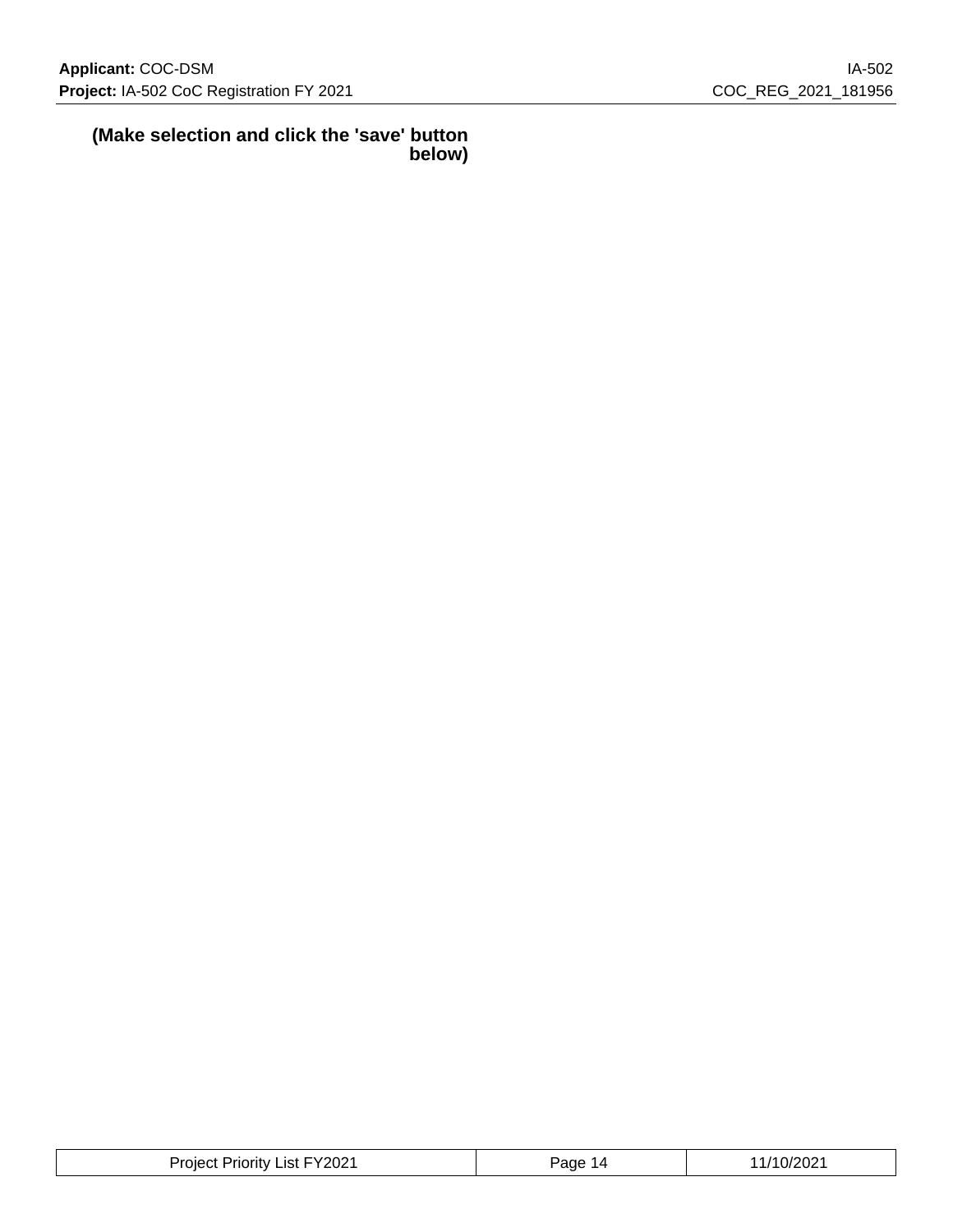$\overline{\phantom{a}}$ 

#### **(Make selection and click the 'save' button below)**

| <b>Project Priority List FY2021</b> | Page<br>-14 | 1/10/2021 |
|-------------------------------------|-------------|-----------|
|-------------------------------------|-------------|-----------|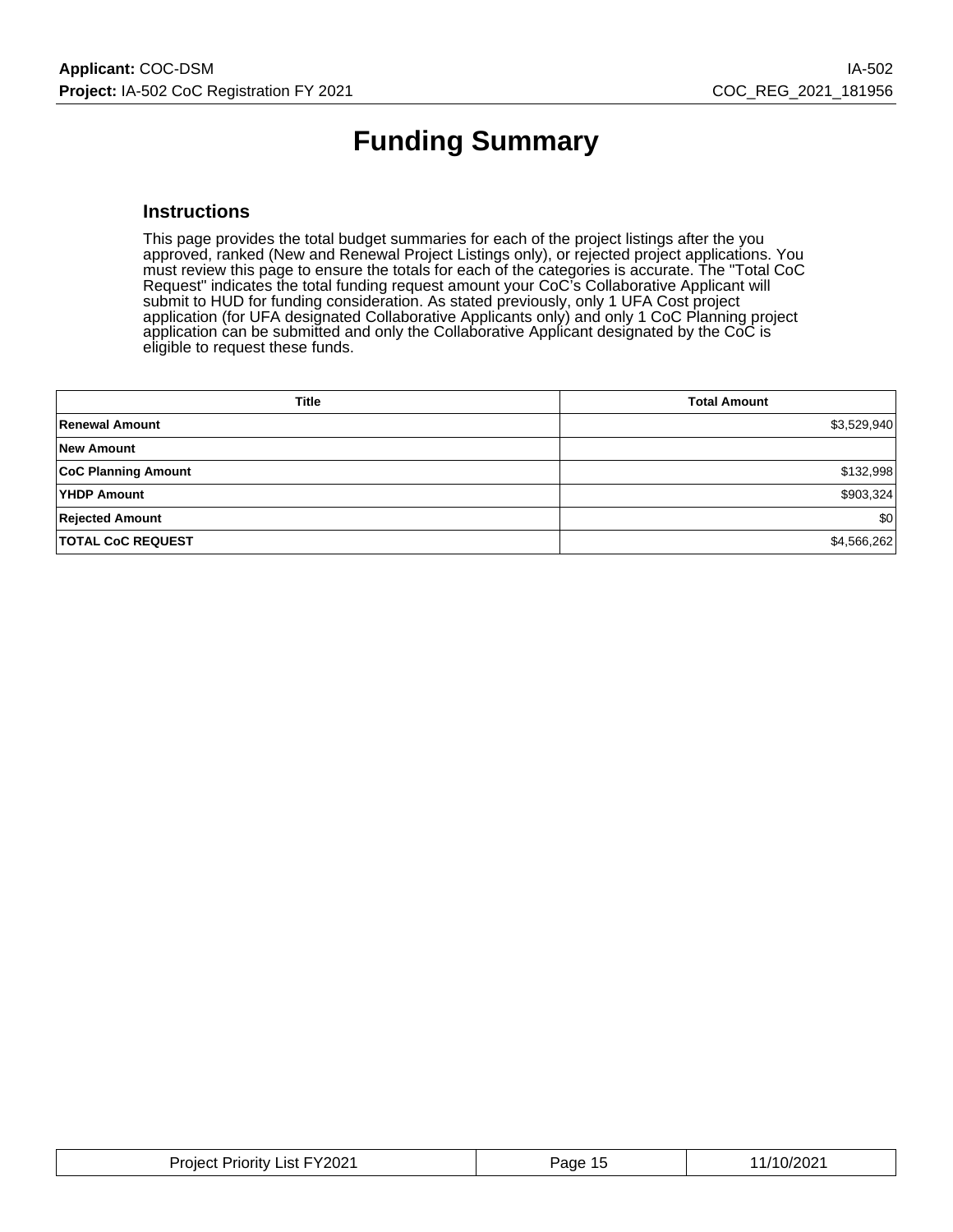# **Funding Summary**

#### **Instructions**

This page provides the total budget summaries for each of the project listings after the you approved, ranked (New and Renewal Project Listings only), or rejected project applications. You must review this page to ensure the totals for each of the categories is accurate. The "Total CoC Request" indicates the total funding request amount your CoC's Collaborative Applicant will submit to HUD for funding consideration. As stated previously, only 1 UFA Cost project application (for UFA designated Collaborative Applicants only) and only 1 CoC Planning project application can be submitted and only the Collaborative Applicant designated by the CoC is eligible to request these funds.

| <b>Title</b>               | <b>Total Amount</b> |
|----------------------------|---------------------|
| <b>Renewal Amount</b>      | \$3,529,940         |
| <b>New Amount</b>          |                     |
| <b>CoC Planning Amount</b> | \$132,998           |
| <b>YHDP Amount</b>         | \$903,324           |
| <b>Rejected Amount</b>     | \$0                 |
| <b>TOTAL CoC REQUEST</b>   | \$4,566,262         |

| Priority List FY2021<br>Project | Page<br>-11 | .0/2021<br>$\overline{\phantom{a}}$ |
|---------------------------------|-------------|-------------------------------------|
|---------------------------------|-------------|-------------------------------------|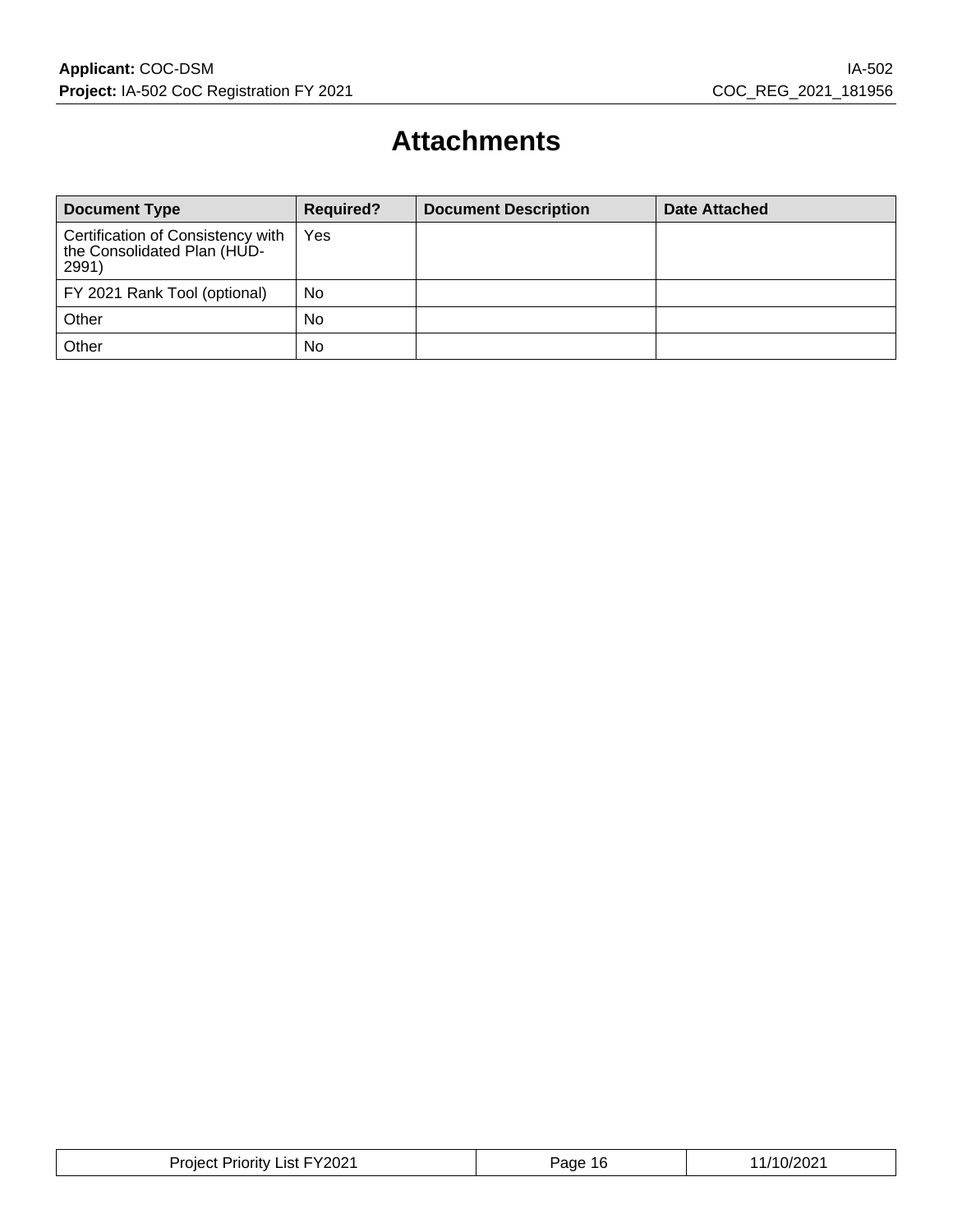# **Attachments**

| <b>Document Type</b>                                                      | <b>Required?</b> | <b>Document Description</b> | Date Attached |
|---------------------------------------------------------------------------|------------------|-----------------------------|---------------|
| Certification of Consistency with<br>the Consolidated Plan (HUD-<br>2991) | Yes              |                             |               |
| FY 2021 Rank Tool (optional)                                              | No               |                             |               |
| Other                                                                     | No               |                             |               |
| Other                                                                     | No               |                             |               |

| FY2021<br>Project<br>_ıst I<br>Priority | e∩ה?<br>16. | 10/202<br>,,, |
|-----------------------------------------|-------------|---------------|
|-----------------------------------------|-------------|---------------|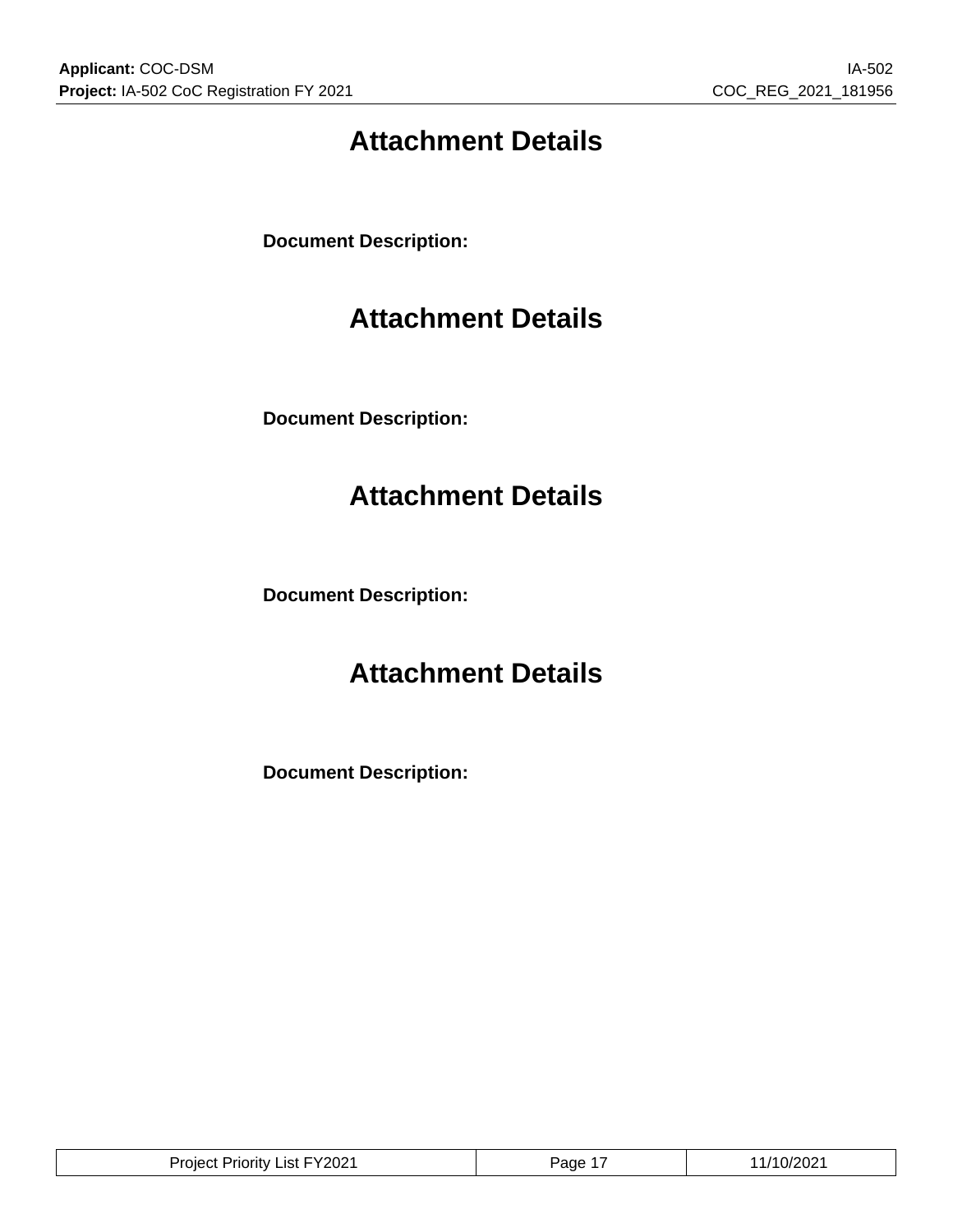# **Attachment Details**

**Document Description:**

# **Attachment Details**

**Document Description:**

# **Attachment Details**

**Document Description:**

# **Attachment Details**

**Document Description:**

| Y2021:<br>பா<br>.ıst<br>.<br>ΊIJ<br>⊣ורי | . –<br>ane | , <i>,</i><br>uz |
|------------------------------------------|------------|------------------|
|                                          |            |                  |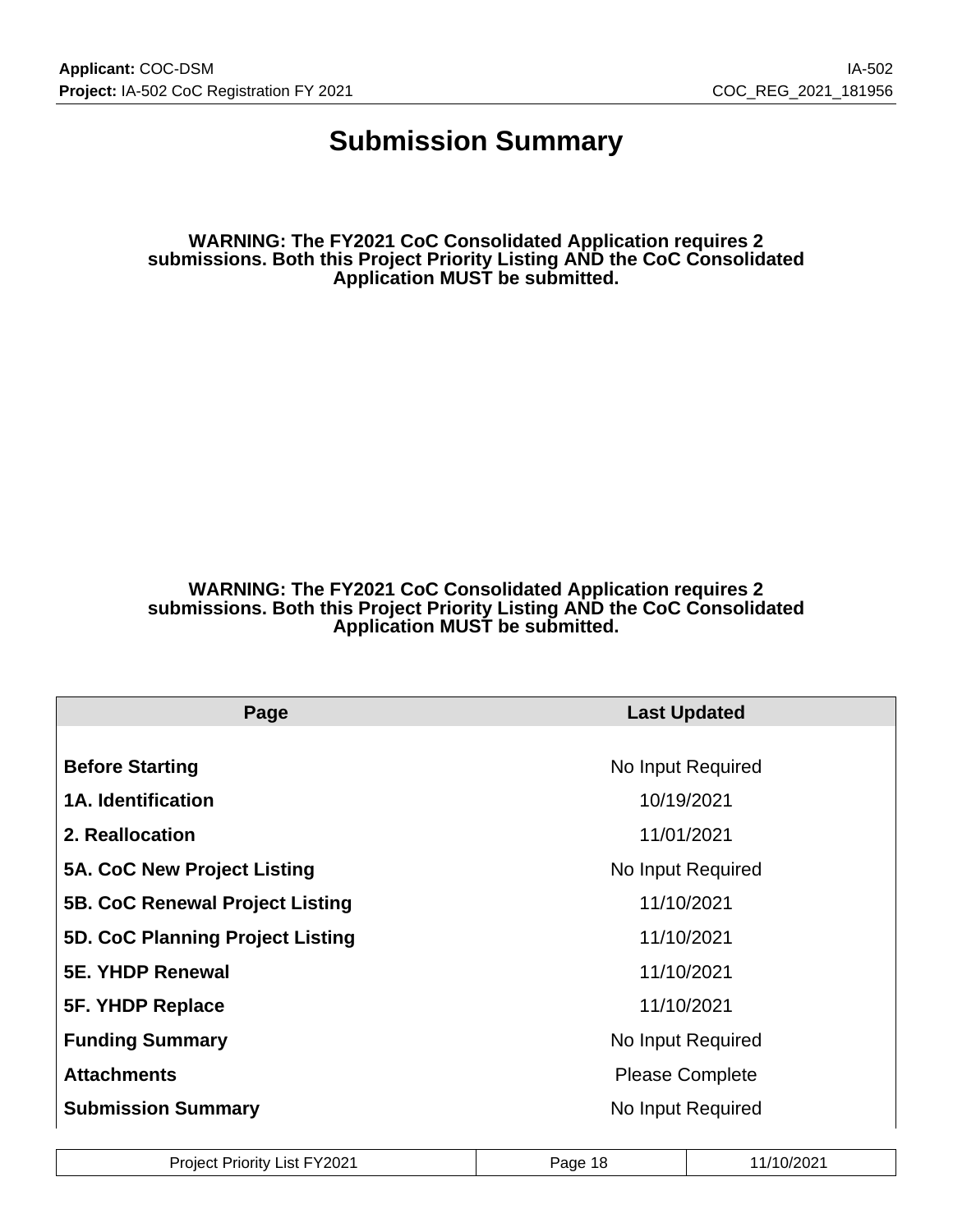## **Submission Summary**

**WARNING: The FY2021 CoC Consolidated Application requires 2 submissions. Both this Project Priority Listing AND the CoC Consolidated Application MUST be submitted.**

#### **WARNING: The FY2021 CoC Consolidated Application requires 2 submissions. Both this Project Priority Listing AND the CoC Consolidated Application MUST be submitted.**

| Page                               | <b>Last Updated</b>    |  |  |
|------------------------------------|------------------------|--|--|
|                                    |                        |  |  |
| <b>Before Starting</b>             | No Input Required      |  |  |
| <b>1A. Identification</b>          | 10/19/2021             |  |  |
| 2. Reallocation                    | 11/01/2021             |  |  |
| <b>5A. CoC New Project Listing</b> | No Input Required      |  |  |
| 5B. CoC Renewal Project Listing    | 11/10/2021             |  |  |
| 5D. CoC Planning Project Listing   | 11/10/2021             |  |  |
| <b>5E. YHDP Renewal</b>            | 11/10/2021             |  |  |
| 5F. YHDP Replace                   | 11/10/2021             |  |  |
| <b>Funding Summary</b>             | No Input Required      |  |  |
| <b>Attachments</b>                 | <b>Please Complete</b> |  |  |
| <b>Submission Summary</b>          | No Input Required      |  |  |

| <b>Project Priority List FY2021</b> | Page 1 <sup>P</sup> | 11/10/2021 |
|-------------------------------------|---------------------|------------|
|-------------------------------------|---------------------|------------|